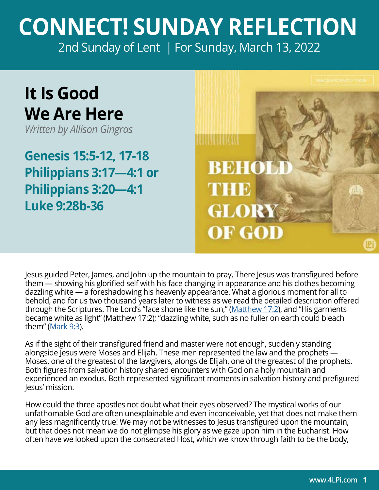## **CONNECT! SUNDAY REFLECTION** [2nd Sunday of Lent | For Sunday, March 13, 2022](https://bible.usccb.org/bible/readings/031322.cfm)

## **It Is Good We Are Here**

*Written by Allison Gingras*

**Genesis 15:5-12, 17-18 Philippians 3:17—4:1 or Philippians 3:20—4:1 Luke 9:28b-36**



Jesus guided Peter, James, and John up the mountain to pray. There Jesus was transfigured before them — showing his glorified self with his face changing in appearance and his clothes becoming dazzling white — a foreshadowing his heavenly appearance. What a glorious moment for all to behold, and for us two thousand years later to witness as we read the detailed description offered through the Scriptures. The Lord's "face shone like the sun," [\(Matthew 17:2](https://bible.usccb.org/bible/matthew/17)), and "His garments became white as light" (Matthew 17:2); "dazzling white, such as no fuller on earth could bleach them" [\(Mark 9:3\)](https://bible.usccb.org/bible/mark/9).

As if the sight of their transfigured friend and master were not enough, suddenly standing alongside Jesus were Moses and Elijah. These men represented the law and the prophets — Moses, one of the greatest of the lawgivers, alongside Elijah, one of the greatest of the prophets. Both figures from salvation history shared encounters with God on a holy mountain and experienced an exodus. Both represented significant moments in salvation history and prefigured Jesus' mission.

How could the three apostles not doubt what their eyes observed? The mystical works of our unfathomable God are often unexplainable and even inconceivable, yet that does not make them any less magnificently true! We may not be witnesses to Jesus transfigured upon the mountain, but that does not mean we do not glimpse his glory as we gaze upon him in the Eucharist. How often have we looked upon the consecrated Host, which we know through faith to be the body,